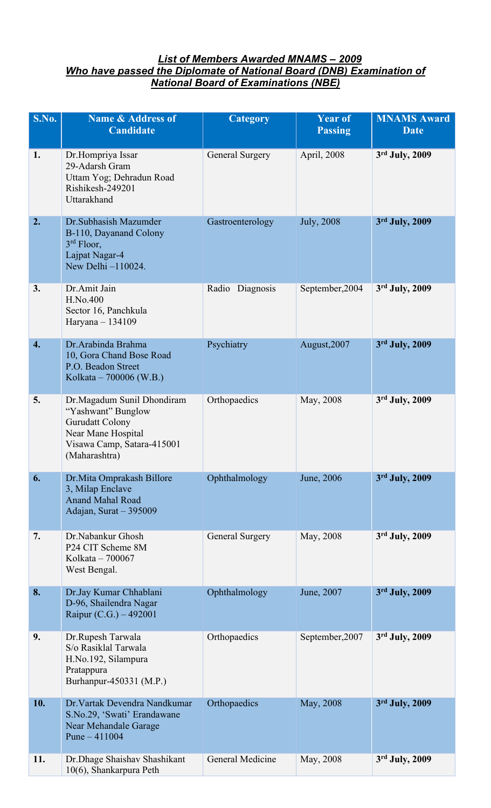## *List of Members Awarded MNAMS – 2009 Who have passed the Diplomate of National Board (DNB) Examination of National Board of Examinations (NBE)*

| S.No. | <b>Name &amp; Address of</b><br><b>Candidate</b>                                                                                         | Category               | <b>Year of</b><br><b>Passing</b> | <b>MNAMS</b> Award<br><b>Date</b> |
|-------|------------------------------------------------------------------------------------------------------------------------------------------|------------------------|----------------------------------|-----------------------------------|
| 1.    | Dr.Hompriya Issar<br>29-Adarsh Gram<br>Uttam Yog; Dehradun Road<br>Rishikesh-249201<br>Uttarakhand                                       | <b>General Surgery</b> | April, 2008                      | 3rd July, 2009                    |
| 2.    | Dr.Subhasish Mazumder<br>B-110, Dayanand Colony<br>$3rd$ Floor,<br>Lajpat Nagar-4<br>New Delhi -110024.                                  | Gastroenterology       | <b>July</b> , 2008               | 3rd July, 2009                    |
| 3.    | Dr. Amit Jain<br>H.No.400<br>Sector 16, Panchkula<br>Haryana - 134109                                                                    | Radio Diagnosis        | September, 2004                  | 3rd July, 2009                    |
| 4.    | Dr. Arabinda Brahma<br>10, Gora Chand Bose Road<br>P.O. Beadon Street<br>Kolkata – 700006 (W.B.)                                         | Psychiatry             | August, 2007                     | 3rd July, 2009                    |
| 5.    | Dr.Magadum Sunil Dhondiram<br>"Yashwant" Bunglow<br>Gurudatt Colony<br>Near Mane Hospital<br>Visawa Camp, Satara-415001<br>(Maharashtra) | Orthopaedics           | May, 2008                        | 3rd July, 2009                    |
| 6.    | Dr. Mita Omprakash Billore<br>3, Milap Enclave<br><b>Anand Mahal Road</b><br>Adajan, Surat - 395009                                      | Ophthalmology          | June, 2006                       | 3rd July, 2009                    |
| 7.    | Dr.Nabankur Ghosh<br>P24 CIT Scheme 8M<br>Kolkata - 700067<br>West Bengal.                                                               | General Surgery        | May, 2008                        | 3rd July, 2009                    |
| 8.    | Dr.Jay Kumar Chhablani<br>D-96, Shailendra Nagar<br>Raipur (C.G.) – 492001                                                               | Ophthalmology          | June, 2007                       | 3rd July, 2009                    |
| 9.    | Dr.Rupesh Tarwala<br>S/o Rasiklal Tarwala<br>H.No.192, Silampura<br>Pratappura<br>Burhanpur-450331 (M.P.)                                | Orthopaedics           | September, 2007                  | 3rd July, 2009                    |
| 10.   | Dr. Vartak Devendra Nandkumar<br>S.No.29, 'Swati' Erandawane<br>Near Mehandale Garage<br>Pune $-411004$                                  | Orthopaedics           | May, 2008                        | 3rd July, 2009                    |
| 11.   | Dr.Dhage Shaishav Shashikant<br>10(6), Shankarpura Peth                                                                                  | General Medicine       | May, 2008                        | 3rd July, 2009                    |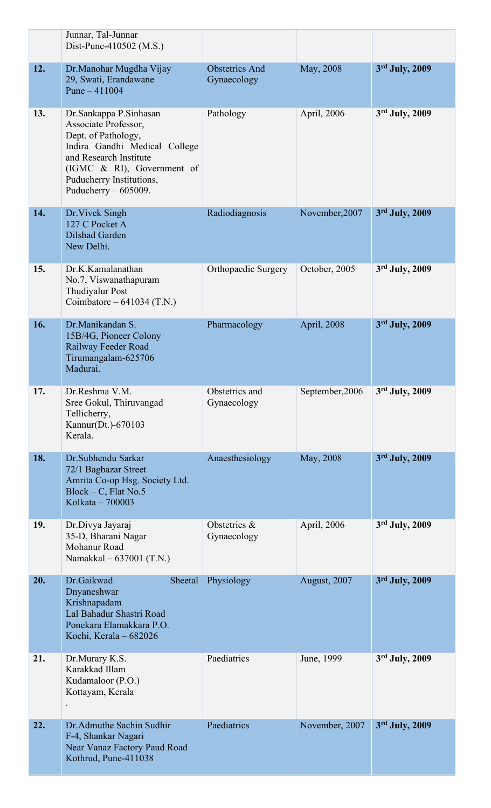|     | Junnar, Tal-Junnar<br>Dist-Pune-410502 (M.S.)                                                                                                                                                                        |                                      |                 |                |
|-----|----------------------------------------------------------------------------------------------------------------------------------------------------------------------------------------------------------------------|--------------------------------------|-----------------|----------------|
| 12. | Dr. Manohar Mugdha Vijay<br>29, Swati, Erandawane<br>Pune $-411004$                                                                                                                                                  | <b>Obstetrics And</b><br>Gynaecology | May, 2008       | 3rd July, 2009 |
| 13. | Dr.Sankappa P.Sinhasan<br>Associate Professor,<br>Dept. of Pathology,<br>Indira Gandhi Medical College<br>and Research Institute<br>(IGMC & RI), Government of<br>Puducherry Institutions,<br>Puducherry $-605009$ . | Pathology                            | April, 2006     | 3rd July, 2009 |
| 14. | Dr. Vivek Singh<br>127 C Pocket A<br>Dilshad Garden<br>New Delhi.                                                                                                                                                    | Radiodiagnosis                       | November, 2007  | 3rd July, 2009 |
| 15. | Dr.K.Kamalanathan<br>No.7, Viswanathapuram<br><b>Thudiyalur Post</b><br>Coimbatore – $641034$ (T.N.)                                                                                                                 | Orthopaedic Surgery                  | October, 2005   | 3rd July, 2009 |
| 16. | Dr.Manikandan S.<br>15B/4G, Pioneer Colony<br>Railway Feeder Road<br>Tirumangalam-625706<br>Madurai.                                                                                                                 | Pharmacology                         | April, 2008     | 3rd July, 2009 |
| 17. | Dr.Reshma V.M.<br>Sree Gokul, Thiruvangad<br>Tellicherry,<br>Kannur(Dt.)-670103<br>Kerala.                                                                                                                           | Obstetrics and<br>Gynaecology        | September, 2006 | 3rd July, 2009 |
| 18. | Dr.Subhendu Sarkar<br>72/1 Bagbazar Street<br>Amrita Co-op Hsg. Society Ltd.<br>$Block - C$ , Flat No.5<br>Kolkata - 700003                                                                                          | Anaesthesiology                      | May, 2008       | 3rd July, 2009 |
| 19. | Dr.Divya Jayaraj<br>35-D, Bharani Nagar<br>Mohanur Road<br>Namakkal - 637001 (T.N.)                                                                                                                                  | Obstetrics &<br>Gynaecology          | April, 2006     | 3rd July, 2009 |
| 20. | Dr.Gaikwad<br>Sheetal<br>Dnyaneshwar<br>Krishnapadam<br>Lal Bahadur Shastri Road<br>Ponekara Elamakkara P.O.<br>Kochi, Kerala - 682026                                                                               | Physiology                           | August, 2007    | 3rd July, 2009 |
| 21. | Dr.Murary K.S.<br>Karakkad Illam<br>Kudamaloor (P.O.)<br>Kottayam, Kerala                                                                                                                                            | Paediatrics                          | June, 1999      | 3rd July, 2009 |
| 22. | Dr.Admuthe Sachin Sudhir<br>F-4, Shankar Nagari<br>Near Vanaz Factory Paud Road<br>Kothrud, Pune-411038                                                                                                              | Paediatrics                          | November, 2007  | 3rd July, 2009 |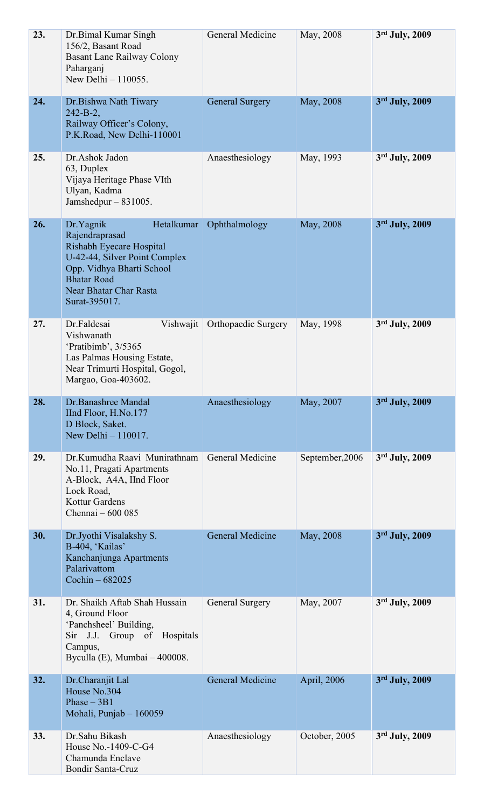| 23. | Dr.Bimal Kumar Singh<br>156/2, Basant Road<br><b>Basant Lane Railway Colony</b><br>Paharganj<br>New Delhi - 110055.                                                                                  | General Medicine        | May, 2008       | 3rd July, 2009   |
|-----|------------------------------------------------------------------------------------------------------------------------------------------------------------------------------------------------------|-------------------------|-----------------|------------------|
| 24. | Dr.Bishwa Nath Tiwary<br>$242 - B - 2$ ,<br>Railway Officer's Colony,<br>P.K.Road, New Delhi-110001                                                                                                  | <b>General Surgery</b>  | May, 2008       | 3rd July, 2009   |
| 25. | Dr.Ashok Jadon<br>63, Duplex<br>Vijaya Heritage Phase VIth<br>Ulyan, Kadma<br>Jamshedpur $-831005$ .                                                                                                 | Anaesthesiology         | May, 1993       | 3rd July, 2009   |
| 26. | Dr.Yagnik<br>Hetalkumar<br>Rajendraprasad<br>Rishabh Eyecare Hospital<br>U-42-44, Silver Point Complex<br>Opp. Vidhya Bharti School<br><b>Bhatar Road</b><br>Near Bhatar Char Rasta<br>Surat-395017. | Ophthalmology           | May, 2008       | 3rd July, 2009   |
| 27. | Dr.Faldesai<br>Vishwajit<br>Vishwanath<br>'Pratibimb', 3/5365<br>Las Palmas Housing Estate,<br>Near Trimurti Hospital, Gogol,<br>Margao, Goa-403602.                                                 | Orthopaedic Surgery     | May, 1998       | 3rd July, 2009   |
| 28. | Dr.Banashree Mandal<br>IInd Floor, H.No.177<br>D Block, Saket.<br>New Delhi - 110017.                                                                                                                | Anaesthesiology         | May, 2007       | 3rd July, 2009   |
| 29. | Dr Kumudha Raavi Munirathnam<br>No.11, Pragati Apartments<br>A-Block, A4A, IInd Floor<br>Lock Road,<br><b>Kottur Gardens</b><br>Chennai - 600 085                                                    | <b>General Medicine</b> | September, 2006 | 3rd July, 2009   |
| 30. | Dr.Jyothi Visalakshy S.<br>B-404, 'Kailas'<br>Kanchanjunga Apartments<br>Palarivattom<br>Cochin $-682025$                                                                                            | <b>General Medicine</b> | May, 2008       | 3rd July, 2009   |
| 31. | Dr. Shaikh Aftab Shah Hussain<br>4, Ground Floor<br>'Panchsheel' Building,<br>Sir J.J. Group of Hospitals<br>Campus,<br>Byculla $(E)$ , Mumbai $-400008$ .                                           | General Surgery         | May, 2007       | 3rd July, 2009   |
| 32. | Dr.Charanjit Lal<br>House No.304<br>Phase $-3B1$<br>Mohali, Punjab - 160059                                                                                                                          | <b>General Medicine</b> | April, 2006     | 3rd July, 2009   |
| 33. | Dr.Sahu Bikash<br>House No.-1409-C-G4<br>Chamunda Enclave<br>Bondir Santa-Cruz                                                                                                                       | Anaesthesiology         | October, 2005   | $3rd$ July, 2009 |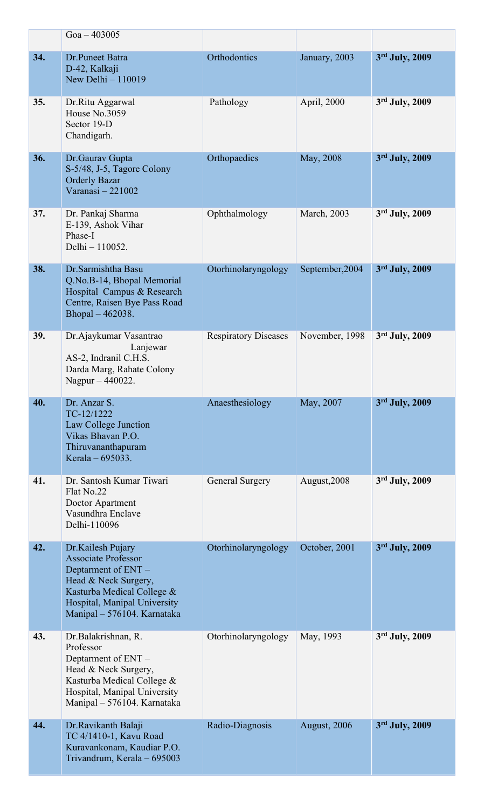|     | $Goa - 403005$                                                                                                                                                                              |                             |                 |                  |
|-----|---------------------------------------------------------------------------------------------------------------------------------------------------------------------------------------------|-----------------------------|-----------------|------------------|
| 34. | Dr.Puneet Batra<br>D-42, Kalkaji<br>New Delhi - 110019                                                                                                                                      | Orthodontics                | January, 2003   | 3rd July, 2009   |
| 35. | Dr.Ritu Aggarwal<br>House No.3059<br>Sector 19-D<br>Chandigarh.                                                                                                                             | Pathology                   | April, 2000     | 3rd July, 2009   |
| 36. | Dr. Gaurav Gupta<br>S-5/48, J-5, Tagore Colony<br><b>Orderly Bazar</b><br>Varanasi-221002                                                                                                   | Orthopaedics                | May, 2008       | 3rd July, 2009   |
| 37. | Dr. Pankaj Sharma<br>E-139, Ashok Vihar<br>Phase-I<br>Delhi - 110052.                                                                                                                       | Ophthalmology               | March, 2003     | 3rd July, 2009   |
| 38. | Dr.Sarmishtha Basu<br>Q.No.B-14, Bhopal Memorial<br>Hospital Campus & Research<br>Centre, Raisen Bye Pass Road<br>Bhopal - 462038.                                                          | Otorhinolaryngology         | September, 2004 | 3rd July, 2009   |
| 39. | Dr. Ajaykumar Vasantrao<br>Lanjewar<br>AS-2, Indranil C.H.S.<br>Darda Marg, Rahate Colony<br>Nagpur - 440022.                                                                               | <b>Respiratory Diseases</b> | November, 1998  | 3rd July, 2009   |
| 40. | Dr. Anzar S.<br>TC-12/1222<br>Law College Junction<br>Vikas Bhavan P.O.<br>Thiruvananthapuram<br>Kerala – $695033$ .                                                                        | Anaesthesiology             | May, 2007       | 3rd July, 2009   |
| 41. | Dr. Santosh Kumar Tiwari<br>Flat No.22<br>Doctor Apartment<br>Vasundhra Enclave<br>Delhi-110096                                                                                             | <b>General Surgery</b>      | August, 2008    | $3rd$ July, 2009 |
| 42. | Dr.Kailesh Pujary<br><b>Associate Professor</b><br>Deptarment of ENT -<br>Head & Neck Surgery,<br>Kasturba Medical College &<br>Hospital, Manipal University<br>Manipal - 576104. Karnataka | Otorhinolaryngology         | October, 2001   | $3rd$ July, 2009 |
| 43. | Dr.Balakrishnan, R.<br>Professor<br>Deptarment of ENT -<br>Head & Neck Surgery,<br>Kasturba Medical College &<br>Hospital, Manipal University<br>Manipal - 576104. Karnataka                | Otorhinolaryngology         | May, 1993       | $3rd$ July, 2009 |
| 44. | Dr.Ravikanth Balaji<br>TC 4/1410-1, Kavu Road<br>Kuravankonam, Kaudiar P.O<br>Trivandrum, Kerala - 695003                                                                                   | Radio-Diagnosis             | August, 2006    | 3rd July, 2009   |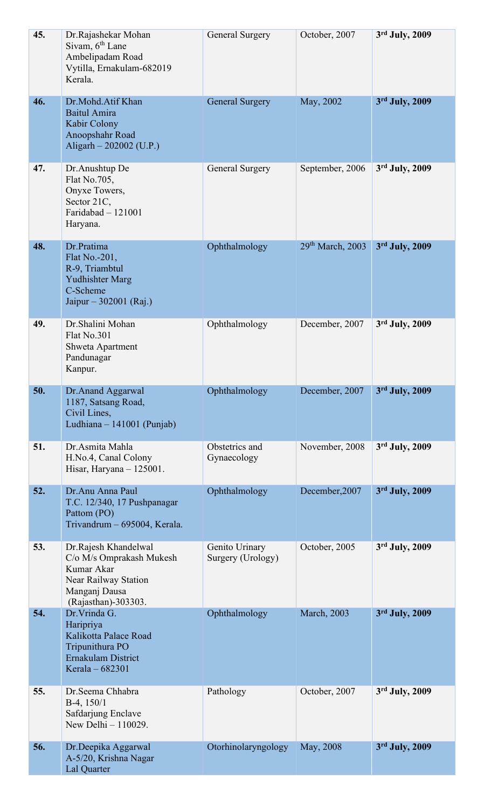| 45. | Dr.Rajashekar Mohan<br>Sivam, 6 <sup>th</sup> Lane<br>Ambelipadam Road<br>Vytilla, Ernakulam-682019<br>Kerala.                 | General Surgery                     | October, 2007                | 3rd July, 2009   |
|-----|--------------------------------------------------------------------------------------------------------------------------------|-------------------------------------|------------------------------|------------------|
| 46. | Dr.Mohd.Atif Khan<br><b>Baitul Amira</b><br>Kabir Colony<br>Anoopshahr Road<br>Aligarh $-202002$ (U.P.)                        | <b>General Surgery</b>              | May, 2002                    | 3rd July, 2009   |
| 47. | Dr.Anushtup De<br>Flat No.705,<br>Onyxe Towers,<br>Sector 21C,<br>Faridabad $-121001$<br>Haryana.                              | General Surgery                     | September, 2006              | 3rd July, 2009   |
| 48. | Dr.Pratima<br>Flat No.-201,<br>R-9, Triambtul<br><b>Yudhishter Marg</b><br>C-Scheme<br>Jaipur – 302001 (Raj.)                  | Ophthalmology                       | 29 <sup>th</sup> March, 2003 | 3rd July, 2009   |
| 49. | Dr.Shalini Mohan<br>Flat No.301<br>Shweta Apartment<br>Pandunagar<br>Kanpur.                                                   | Ophthalmology                       | December, 2007               | 3rd July, 2009   |
| 50. | Dr.Anand Aggarwal<br>1187, Satsang Road,<br>Civil Lines,<br>Ludhiana - 141001 (Punjab)                                         | Ophthalmology                       | December, 2007               | $3rd$ July, 2009 |
| 51. | Dr.Asmita Mahla<br>H.No.4, Canal Colony<br>Hisar, Haryana $-125001$ .                                                          | Obstetrics and<br>Gynaecology       | November, 2008               | $3rd$ July, 2009 |
| 52. | Dr.Anu Anna Paul<br>T.C. 12/340, 17 Pushpanagar<br>Pattom (PO)<br>Trivandrum - 695004, Kerala.                                 | Ophthalmology                       | December, 2007               | 3rd July, 2009   |
| 53. | Dr.Rajesh Khandelwal<br>C/o M/s Omprakash Mukesh<br>Kumar Akar<br>Near Railway Station<br>Manganj Dausa<br>(Rajasthan)-303303. | Genito Urinary<br>Surgery (Urology) | October, 2005                | $3rd$ July, 2009 |
| 54. | Dr. Vrinda G.<br>Haripriya<br>Kalikotta Palace Road<br>Tripunithura PO<br>Ernakulam District<br>Kerala - 682301                | Ophthalmology                       | <b>March</b> , 2003          | 3rd July, 2009   |
| 55. | Dr.Seema Chhabra<br>$B-4$ , 150/1<br>Safdarjung Enclave<br>New Delhi - 110029.                                                 | Pathology                           | October, 2007                | 3rd July, 2009   |
| 56. | Dr.Deepika Aggarwal<br>A-5/20, Krishna Nagar<br><b>Lal Quarter</b>                                                             | Otorhinolaryngology May, 2008       |                              | 3rd July, 2009   |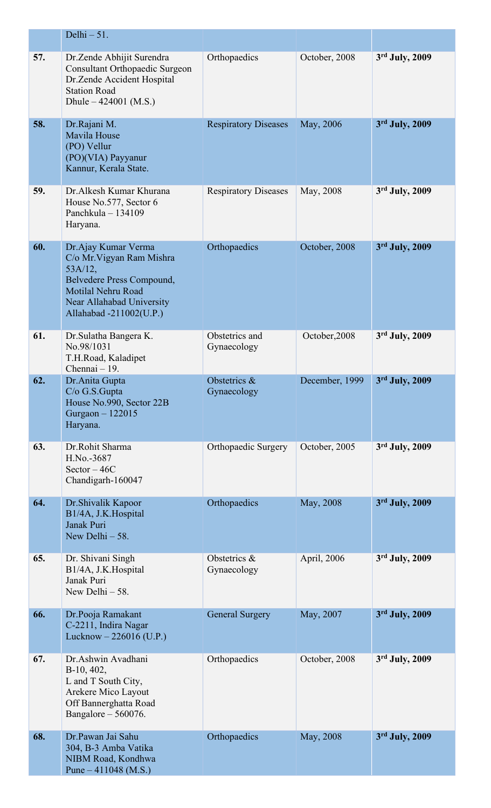|     | Delhi $-51$ .                                                                                                                                                              |                               |                |                  |
|-----|----------------------------------------------------------------------------------------------------------------------------------------------------------------------------|-------------------------------|----------------|------------------|
| 57. | Dr.Zende Abhijit Surendra<br><b>Consultant Orthopaedic Surgeon</b><br>Dr.Zende Accident Hospital<br><b>Station Road</b><br>Dhule $-424001$ (M.S.)                          | Orthopaedics                  | October, 2008  | 3rd July, 2009   |
| 58. | Dr.Rajani M.<br><b>Mavila House</b><br>(PO) Vellur<br>(PO)(VIA) Payyanur<br>Kannur, Kerala State.                                                                          | <b>Respiratory Diseases</b>   | May, 2006      | 3rd July, 2009   |
| 59. | Dr. Alkesh Kumar Khurana<br>House No.577, Sector 6<br>Panchkula - 134109<br>Haryana.                                                                                       | <b>Respiratory Diseases</b>   | May, 2008      | 3rd July, 2009   |
| 60. | Dr. Ajay Kumar Verma<br>C/o Mr. Vigyan Ram Mishra<br>$53A/12$ ,<br>Belvedere Press Compound,<br>Motilal Nehru Road<br>Near Allahabad University<br>Allahabad -211002(U.P.) | Orthopaedics                  | October, 2008  | 3rd July, 2009   |
| 61. | Dr.Sulatha Bangera K.<br>No.98/1031<br>T.H.Road, Kaladipet<br>Chennai - 19.                                                                                                | Obstetrics and<br>Gynaecology | October, 2008  | 3rd July, 2009   |
| 62. | Dr.Anita Gupta<br>$C/O$ G.S. Gupta<br>House No.990, Sector 22B<br>Gurgaon - 122015<br>Haryana.                                                                             | Obstetrics &<br>Gynaecology   | December, 1999 | 3rd July, 2009   |
| 63. | Dr.Rohit Sharma<br>H.No.-3687<br>Sector $-46C$<br>Chandigarh-160047                                                                                                        | Orthopaedic Surgery           | October, 2005  | 3rd July, 2009   |
| 64. | Dr. Shivalik Kapoor<br>B1/4A, J.K.Hospital<br>Janak Puri<br>New Delhi $-58$ .                                                                                              | Orthopaedics                  | May, 2008      | 3rd July, 2009   |
| 65. | Dr. Shivani Singh<br>B1/4A, J.K.Hospital<br>Janak Puri<br>New Delhi $-58$ .                                                                                                | Obstetrics &<br>Gynaecology   | April, 2006    | $3rd$ July, 2009 |
| 66. | Dr.Pooja Ramakant<br>C-2211, Indira Nagar<br>Lucknow $- 226016$ (U.P.)                                                                                                     | <b>General Surgery</b>        | May, 2007      | 3rd July, 2009   |
| 67. | Dr.Ashwin Avadhani<br>$B-10, 402,$<br>L and T South City,<br>Arekere Mico Layout<br>Off Bannerghatta Road<br>Bangalore $-560076$ .                                         | Orthopaedics                  | October, 2008  | 3rd July, 2009   |
| 68. | Dr.Pawan Jai Sahu<br>304, B-3 Amba Vatika<br>NIBM Road, Kondhwa<br>Pune $-411048$ (M.S.)                                                                                   | Orthopaedics                  | May, 2008      | 3rd July, 2009   |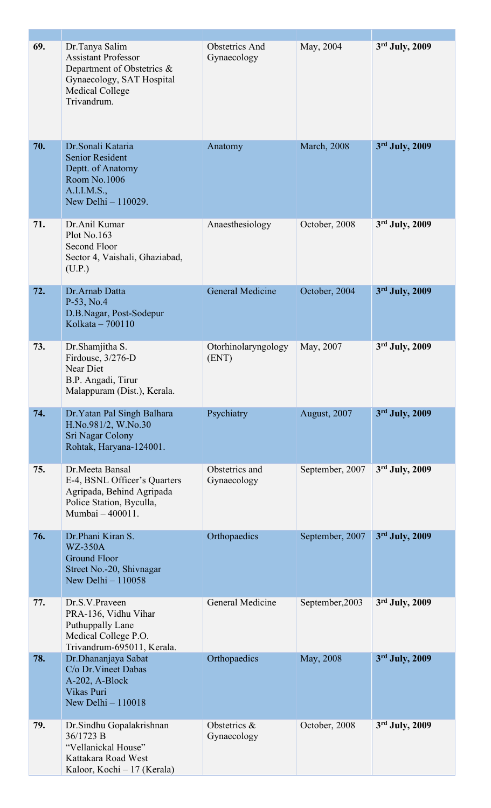| 69. | Dr.Tanya Salim<br><b>Assistant Professor</b><br>Department of Obstetrics &<br>Gynaecology, SAT Hospital<br><b>Medical College</b><br>Trivandrum. | <b>Obstetrics And</b><br>Gynaecology | May, 2004           | 3rd July, 2009   |
|-----|--------------------------------------------------------------------------------------------------------------------------------------------------|--------------------------------------|---------------------|------------------|
| 70. | Dr. Sonali Kataria<br><b>Senior Resident</b><br>Deptt. of Anatomy<br>Room No.1006<br>A.I.I.M.S.,<br>New Delhi - 110029.                          | Anatomy                              | <b>March</b> , 2008 | 3rd July, 2009   |
| 71. | Dr.Anil Kumar<br>Plot No.163<br>Second Floor<br>Sector 4, Vaishali, Ghaziabad,<br>(U.P.)                                                         | Anaesthesiology                      | October, 2008       | $3rd$ July, 2009 |
| 72. | Dr.Arnab Datta<br>$P-53$ , No.4<br>D.B.Nagar, Post-Sodepur<br>Kolkata - 700110                                                                   | <b>General Medicine</b>              | October, 2004       | 3rd July, 2009   |
| 73. | Dr.Shamjitha S.<br>Firdouse, 3/276-D<br>Near Diet<br>B.P. Angadi, Tirur<br>Malappuram (Dist.), Kerala.                                           | Otorhinolaryngology<br>(ENT)         | May, 2007           | 3rd July, 2009   |
| 74. | Dr. Yatan Pal Singh Balhara<br>H.No.981/2, W.No.30<br>Sri Nagar Colony<br>Rohtak, Haryana-124001.                                                | Psychiatry                           | August, 2007        | 3rd July, 2009   |
| 75. | Dr.Meeta Bansal<br>E-4, BSNL Officer's Quarters<br>Agripada, Behind Agripada<br>Police Station, Byculla,<br>Mumbai - 400011.                     | Obstetrics and<br>Gynaecology        | September, 2007     | 3rd July, 2009   |
| 76. | Dr.Phani Kiran S.<br><b>WZ-350A</b><br><b>Ground Floor</b><br>Street No.-20, Shivnagar<br>New Delhi - 110058                                     | Orthopaedics                         | September, 2007     | 3rd July, 2009   |
| 77. | Dr.S.V.Praveen<br>PRA-136, Vidhu Vihar<br>Puthuppally Lane<br>Medical College P.O.<br>Trivandrum-695011, Kerala.                                 | General Medicine                     | September, 2003     | 3rd July, 2009   |
| 78. | Dr.Dhananjaya Sabat<br>C/o Dr. Vineet Dabas<br>A-202, A-Block<br>Vikas Puri<br>New Delhi - 110018                                                | Orthopaedics                         | May, 2008           | 3rd July, 2009   |
| 79. | Dr.Sindhu Gopalakrishnan<br>36/1723 B<br>"Vellanickal House"<br>Kattakara Road West<br>Kaloor, Kochi - 17 (Kerala)                               | Obstetrics &<br>Gynaecology          | October, 2008       | 3rd July, 2009   |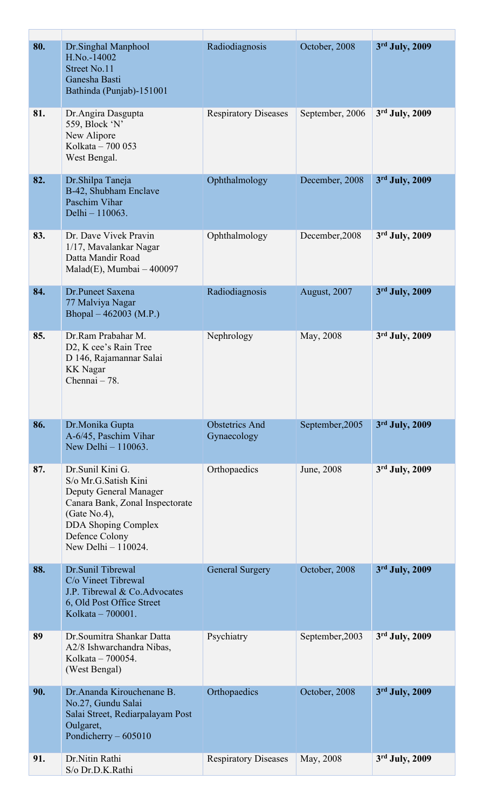| 80. | Dr.Singhal Manphool<br>H.No.-14002<br>Street No.11<br>Ganesha Basti<br>Bathinda (Punjab)-151001                                                                                                | Radiodiagnosis                       | October, 2008   | 3rd July, 2009   |
|-----|------------------------------------------------------------------------------------------------------------------------------------------------------------------------------------------------|--------------------------------------|-----------------|------------------|
| 81. | Dr.Angira Dasgupta<br>559, Block 'N'<br>New Alipore<br>Kolkata - 700 053<br>West Bengal.                                                                                                       | <b>Respiratory Diseases</b>          | September, 2006 | 3rd July, 2009   |
| 82. | Dr.Shilpa Taneja<br>B-42, Shubham Enclave<br>Paschim Vihar<br>Delhi - 110063.                                                                                                                  | Ophthalmology                        | December, 2008  | 3rd July, 2009   |
| 83. | Dr. Dave Vivek Pravin<br>1/17, Mavalankar Nagar<br>Datta Mandir Road<br>$Malad(E)$ , Mumbai $-400097$                                                                                          | Ophthalmology                        | December, 2008  | 3rd July, 2009   |
| 84. | Dr.Puneet Saxena<br>77 Malviya Nagar<br>Bhopal $-462003$ (M.P.)                                                                                                                                | Radiodiagnosis                       | August, 2007    | 3rd July, 2009   |
| 85. | Dr.Ram Prabahar M.<br>D <sub>2</sub> , K cee's Rain Tree<br>D 146, Rajamannar Salai<br><b>KK</b> Nagar<br>Chennai - 78.                                                                        | Nephrology                           | May, 2008       | $3rd$ July, 2009 |
| 86. | Dr.Monika Gupta<br>A-6/45, Paschim Vihar<br>New Delhi $-110063$ .                                                                                                                              | <b>Obstetrics And</b><br>Gynaecology | September, 2005 | 3rd July, 2009   |
| 87. | Dr.Sunil Kini G.<br>S/o Mr.G.Satish Kini<br>Deputy General Manager<br>Canara Bank, Zonal Inspectorate<br>(Gate No.4),<br><b>DDA Shoping Complex</b><br>Defence Colony<br>New Delhi $-110024$ . | Orthopaedics                         | June, 2008      | $3rd$ July, 2009 |
| 88. | Dr. Sunil Tibrewal<br>C/o Vineet Tibrewal<br>J.P. Tibrewal & Co.Advocates<br>6, Old Post Office Street<br>Kolkata - 700001.                                                                    | <b>General Surgery</b>               | October, 2008   | 3rd July, 2009   |
| 89  | Dr. Soumitra Shankar Datta<br>A2/8 Ishwarchandra Nibas,<br>Kolkata – 700054.<br>(West Bengal)                                                                                                  | Psychiatry                           | September, 2003 | 3rd July, 2009   |
| 90. | Dr. Ananda Kirouchenane B.<br>No.27, Gundu Salai<br>Salai Street, Rediarpalayam Post<br>Oulgaret,<br>Pondicherry $-605010$                                                                     | Orthopaedics                         | October, 2008   | 3rd July, 2009   |
| 91. | Dr.Nitin Rathi<br>S/o Dr.D.K.Rathi                                                                                                                                                             | <b>Respiratory Diseases</b>          | May, 2008       | 3rd July, 2009   |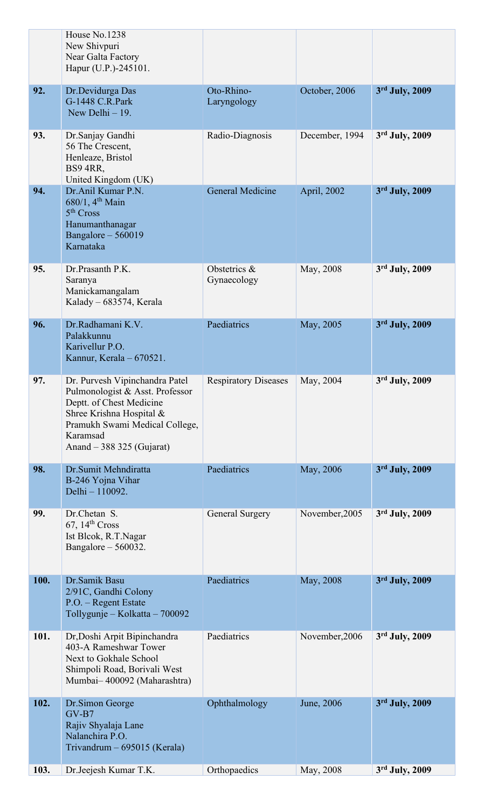|      | House No.1238<br>New Shivpuri<br>Near Galta Factory<br>Hapur (U.P.)-245101.                                                                                                                          |                             |                |                  |
|------|------------------------------------------------------------------------------------------------------------------------------------------------------------------------------------------------------|-----------------------------|----------------|------------------|
| 92.  | Dr.Devidurga Das<br>G-1448 C.R.Park<br>New Delhi $-19$ .                                                                                                                                             | Oto-Rhino-<br>Laryngology   | October, 2006  | 3rd July, 2009   |
| 93.  | Dr.Sanjay Gandhi<br>56 The Crescent,<br>Henleaze, Bristol<br><b>BS9 4RR,</b><br>United Kingdom (UK)                                                                                                  | Radio-Diagnosis             | December, 1994 | $3rd$ July, 2009 |
| 94.  | Dr.Anil Kumar P.N.<br>680/1, 4 <sup>th</sup> Main<br>5 <sup>th</sup> Cross<br>Hanumanthanagar<br>Bangalore - 560019<br>Karnataka                                                                     | <b>General Medicine</b>     | April, 2002    | 3rd July, 2009   |
| 95.  | Dr.Prasanth P.K.<br>Saranya<br>Manickamangalam<br>Kalady - 683574, Kerala                                                                                                                            | Obstetrics &<br>Gynaecology | May, 2008      | 3rd July, 2009   |
| 96.  | Dr.Radhamani K.V.<br>Palakkunnu<br>Karivellur P.O.<br>Kannur, Kerala - 670521.                                                                                                                       | Paediatrics                 | May, 2005      | 3rd July, 2009   |
| 97.  | Dr. Purvesh Vipinchandra Patel<br>Pulmonologist & Asst. Professor<br>Deptt. of Chest Medicine<br>Shree Krishna Hospital &<br>Pramukh Swami Medical College,<br>Karamsad<br>Anand $-388325$ (Gujarat) | <b>Respiratory Diseases</b> | May, 2004      | 3rd July, 2009   |
| 98.  | Dr.Sumit Mehndiratta<br>B-246 Yojna Vihar<br>Delhi - 110092.                                                                                                                                         | Paediatrics                 | May, 2006      | 3rd July, 2009   |
| 99.  | Dr.Chetan S.<br>67, 14 <sup>th</sup> Cross<br>Ist Blcok, R.T.Nagar<br>Bangalore $-560032$ .                                                                                                          | <b>General Surgery</b>      | November, 2005 | 3rd July, 2009   |
| 100. | Dr.Samik Basu<br>2/91C, Gandhi Colony<br>P.O. - Regent Estate<br>Tollygunje – Kolkatta – 700092                                                                                                      | Paediatrics                 | May, 2008      | 3rd July, 2009   |
| 101. | Dr, Doshi Arpit Bipinchandra<br>403-A Rameshwar Tower<br>Next to Gokhale School<br>Shimpoli Road, Borivali West<br>Mumbai-400092 (Maharashtra)                                                       | Paediatrics                 | November, 2006 | $3rd$ July, 2009 |
| 102. | Dr.Simon George<br>$GV-B7$<br>Rajiv Shyalaja Lane<br>Nalanchira P.O.<br>Trivandrum - 695015 (Kerala)                                                                                                 | Ophthalmology               | June, 2006     | $3rd$ July, 2009 |
| 103. | Dr.Jeejesh Kumar T.K.                                                                                                                                                                                | Orthopaedics                | May, 2008      | 3rd July, 2009   |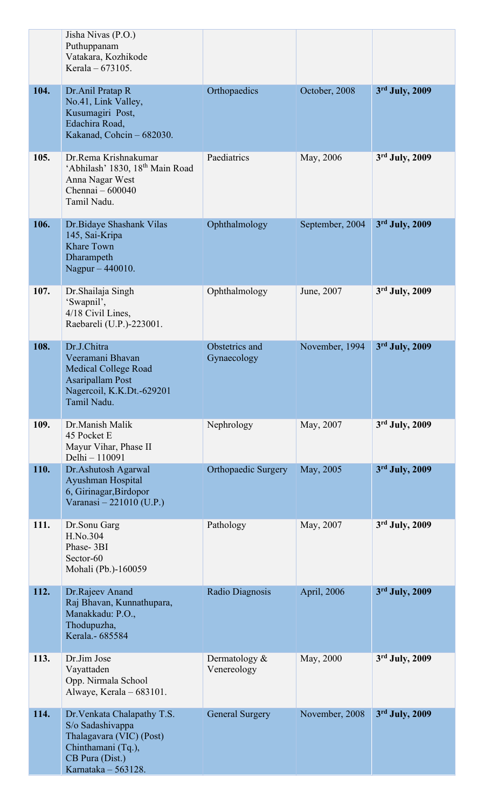|      | Jisha Nivas (P.O.)<br>Puthuppanam<br>Vatakara, Kozhikode<br>Kerala - 673105.                                                                |                                 |                 |                |
|------|---------------------------------------------------------------------------------------------------------------------------------------------|---------------------------------|-----------------|----------------|
| 104. | Dr.Anil Pratap R<br>No.41, Link Valley,<br>Kusumagiri Post,<br>Edachira Road,<br>Kakanad, Cohcin - 682030.                                  | Orthopaedics                    | October, 2008   | 3rd July, 2009 |
| 105. | Dr.Rema Krishnakumar<br>'Abhilash' 1830, 18 <sup>th</sup> Main Road<br>Anna Nagar West<br>Chennai - 600040<br>Tamil Nadu.                   | Paediatrics                     | May, 2006       | 3rd July, 2009 |
| 106. | Dr.Bidaye Shashank Vilas<br>145, Sai-Kripa<br><b>Khare Town</b><br>Dharampeth<br>Nagpur - 440010.                                           | Ophthalmology                   | September, 2004 | 3rd July, 2009 |
| 107. | Dr. Shailaja Singh<br>'Swapnil',<br>4/18 Civil Lines,<br>Raebareli (U.P.)-223001.                                                           | Ophthalmology                   | June, 2007      | 3rd July, 2009 |
| 108. | Dr.J.Chitra<br>Veeramani Bhavan<br><b>Medical College Road</b><br><b>Asaripallam Post</b><br>Nagercoil, K.K.Dt.-629201<br>Tamil Nadu.       | Obstetrics and<br>Gynaecology   | November, 1994  | 3rd July, 2009 |
| 109. | Dr.Manish Malik<br>45 Pocket E<br>Mayur Vihar, Phase II<br>Delhi - 110091                                                                   | Nephrology                      | May, 2007       | 3rd July, 2009 |
| 110. | Dr.Ashutosh Agarwal<br>Ayushman Hospital<br>6, Girinagar, Birdopor<br>Varanasi - 221010 (U.P.)                                              | <b>Orthopaedic Surgery</b>      | May, 2005       | 3rd July, 2009 |
| 111. | Dr.Sonu Garg<br>H.No.304<br>Phase-3BI<br>Sector-60<br>Mohali (Pb.)-160059                                                                   | Pathology                       | May, 2007       | 3rd July, 2009 |
| 112. | Dr.Rajeev Anand<br>Raj Bhavan, Kunnathupara,<br>Manakkadu: P.O.,<br>Thodupuzha,<br>Kerala.- 685584                                          | Radio Diagnosis                 | April, 2006     | 3rd July, 2009 |
| 113. | Dr.Jim Jose<br>Vayattaden<br>Opp. Nirmala School<br>Alwaye, Kerala - 683101.                                                                | Dermatology $\&$<br>Venereology | May, 2000       | 3rd July, 2009 |
| 114. | Dr. Venkata Chalapathy T.S.<br>S/o Sadashivappa<br>Thalagavara (VIC) (Post)<br>Chinthamani (Tq.),<br>CB Pura (Dist.)<br>Karnataka - 563128. | <b>General Surgery</b>          | November, 2008  | 3rd July, 2009 |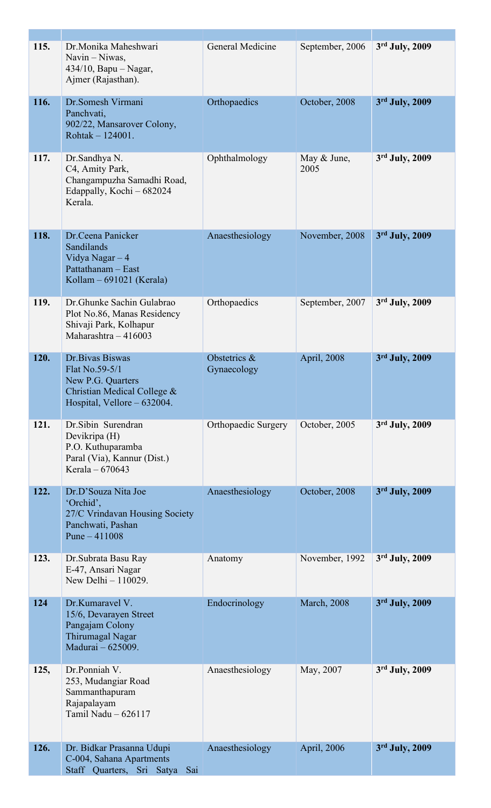| 115. | Dr.Monika Maheshwari<br>Navin - Niwas,<br>$434/10$ , Bapu – Nagar,<br>Ajmer (Rajasthan).                              | General Medicine            | September, 2006     | 3rd July, 2009   |
|------|-----------------------------------------------------------------------------------------------------------------------|-----------------------------|---------------------|------------------|
| 116. | Dr.Somesh Virmani<br>Panchvati,<br>902/22, Mansarover Colony,<br>Rohtak - 124001.                                     | Orthopaedics                | October, 2008       | 3rd July, 2009   |
| 117. | Dr.Sandhya N.<br>C4, Amity Park,<br>Changampuzha Samadhi Road,<br>Edappally, Kochi - 682024<br>Kerala.                | Ophthalmology               | May & June,<br>2005 | $3rd$ July, 2009 |
| 118. | Dr.Ceena Panicker<br>Sandilands<br>Vidya Nagar $-4$<br>Pattathanam - East<br>Kollam $-691021$ (Kerala)                | Anaesthesiology             | November, 2008      | 3rd July, 2009   |
| 119. | Dr. Ghunke Sachin Gulabrao<br>Plot No.86, Manas Residency<br>Shivaji Park, Kolhapur<br>Maharashtra - 416003           | Orthopaedics                | September, 2007     | 3rd July, 2009   |
| 120. | Dr. Bivas Biswas<br>Flat No.59-5/1<br>New P.G. Quarters<br>Christian Medical College &<br>Hospital, Vellore - 632004. | Obstetrics &<br>Gynaecology | April, 2008         | 3rd July, 2009   |
| 121. | Dr.Sibin Surendran<br>Devikripa (H)<br>P.O. Kuthuparamba<br>Paral (Via), Kannur (Dist.)<br>Kerala $-670643$           | Orthopaedic Surgery         | October, 2005       | 3rd July, 2009   |
| 122. | Dr.D'Souza Nita Joe<br>'Orchid',<br>27/C Vrindavan Housing Society<br>Panchwati, Pashan<br>Pune $-411008$             | Anaesthesiology             | October, 2008       | 3rd July, 2009   |
| 123. | Dr. Subrata Basu Ray<br>E-47, Ansari Nagar<br>New Delhi $-110029$ .                                                   | Anatomy                     | November, 1992      | $3rd$ July, 2009 |
| 124  | Dr.Kumaravel V.<br>15/6, Devarayen Street<br>Pangajam Colony<br>Thirumagal Nagar<br>Madurai - 625009.                 | Endocrinology               | <b>March</b> , 2008 | 3rd July, 2009   |
| 125, | Dr.Ponniah V.<br>253, Mudangiar Road<br>Sammanthapuram<br>Rajapalayam<br>Tamil Nadu - 626117                          | Anaesthesiology             | May, 2007           | 3rd July, 2009   |
| 126. | Dr. Bidkar Prasanna Udupi<br>C-004, Sahana Apartments<br>Staff Quarters, Sri Satya Sai                                | Anaesthesiology             | April, 2006         | 3rd July, 2009   |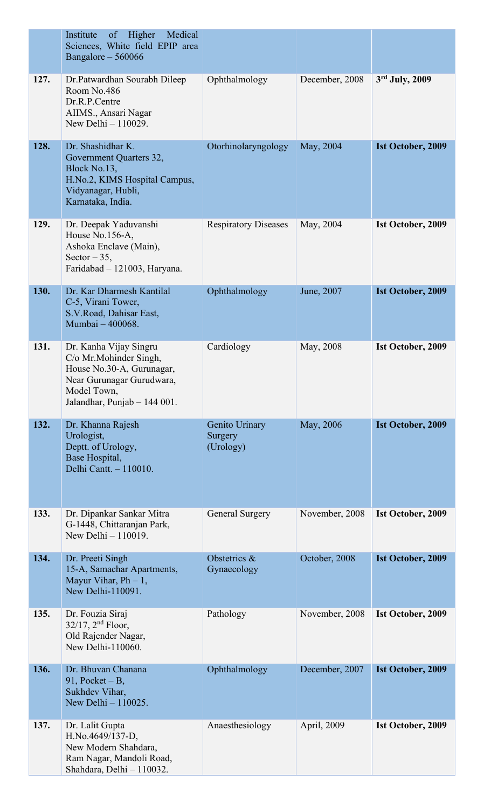|      | Medical<br>Institute<br>of<br>Higher<br>Sciences, White field EPIP area<br>Bangalore - 560066                                                              |                                        |                |                          |
|------|------------------------------------------------------------------------------------------------------------------------------------------------------------|----------------------------------------|----------------|--------------------------|
| 127. | Dr.Patwardhan Sourabh Dileep<br>Room No.486<br>Dr.R.P.Centre<br>AIIMS., Ansari Nagar<br>New Delhi - 110029.                                                | Ophthalmology                          | December, 2008 | 3rd July, 2009           |
| 128. | Dr. Shashidhar K.<br>Government Quarters 32,<br>Block No.13,<br>H.No.2, KIMS Hospital Campus,<br>Vidyanagar, Hubli,<br>Karnataka, India.                   | Otorhinolaryngology                    | May, 2004      | Ist October, 2009        |
| 129. | Dr. Deepak Yaduvanshi<br>House No.156-A,<br>Ashoka Enclave (Main),<br>Sector $-35$ ,<br>Faridabad - 121003, Haryana.                                       | <b>Respiratory Diseases</b>            | May, 2004      | Ist October, 2009        |
| 130. | Dr. Kar Dharmesh Kantilal<br>C-5, Virani Tower,<br>S.V.Road, Dahisar East,<br>Mumbai - 400068.                                                             | Ophthalmology                          | June, 2007     | Ist October, 2009        |
| 131. | Dr. Kanha Vijay Singru<br>C/o Mr.Mohinder Singh,<br>House No.30-A, Gurunagar,<br>Near Gurunagar Gurudwara,<br>Model Town,<br>Jalandhar, Punjab $-144001$ . | Cardiology                             | May, 2008      | Ist October, 2009        |
| 132. | Dr. Khanna Rajesh<br>Urologist,<br>Deptt. of Urology,<br>Base Hospital,<br>Delhi Cantt. - 110010.                                                          | Genito Urinary<br>Surgery<br>(Urology) | May, 2006      | Ist October, 2009        |
| 133. | Dr. Dipankar Sankar Mitra<br>G-1448, Chittaranjan Park,<br>New Delhi $-110019$ .                                                                           | General Surgery                        | November, 2008 | Ist October, 2009        |
| 134. | Dr. Preeti Singh<br>15-A, Samachar Apartments,<br>Mayur Vihar, $Ph - 1$ ,<br>New Delhi-110091.                                                             | Obstetrics &<br>Gynaecology            | October, 2008  | <b>Ist October, 2009</b> |
| 135. | Dr. Fouzia Siraj<br>$32/17$ , $2nd$ Floor,<br>Old Rajender Nagar,<br>New Delhi-110060.                                                                     | Pathology                              | November, 2008 | Ist October, 2009        |
| 136. | Dr. Bhuvan Chanana<br>91, Pocket $-B$ ,<br>Sukhdev Vihar,<br>New Delhi $-110025$ .                                                                         | Ophthalmology                          | December, 2007 | Ist October, 2009        |
| 137. | Dr. Lalit Gupta<br>H.No.4649/137-D.<br>New Modern Shahdara<br>Ram Nagar, Mandoli Road,<br>Shahdara, Delhi - 110032.                                        | Anaesthesiology                        | April, 2009    | Ist October, 2009        |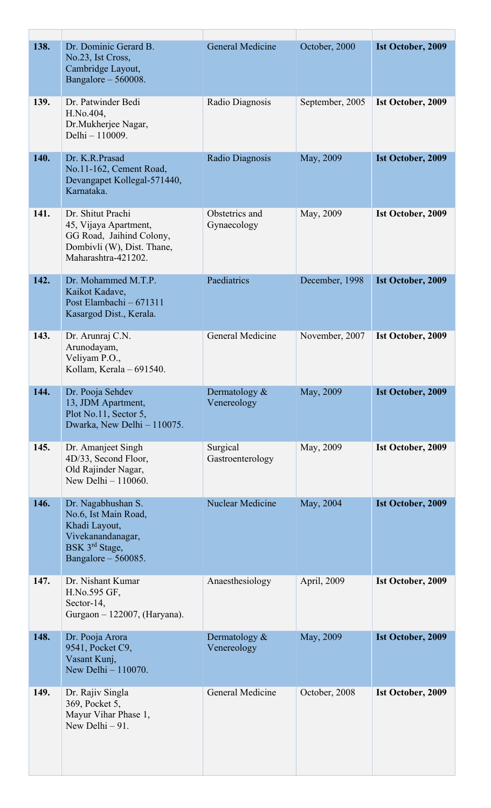| 138. | Dr. Dominic Gerard B.<br>No.23, Ist Cross,<br>Cambridge Layout,<br>Bangalore $-560008$ .                                                | General Medicine                | October, 2000   | Ist October, 2009        |
|------|-----------------------------------------------------------------------------------------------------------------------------------------|---------------------------------|-----------------|--------------------------|
| 139. | Dr. Patwinder Bedi<br>H.No.404,<br>Dr.Mukherjee Nagar,<br>Delhi - 110009.                                                               | Radio Diagnosis                 | September, 2005 | Ist October, 2009        |
| 140. | Dr. K.R.Prasad<br>No.11-162, Cement Road,<br>Devangapet Kollegal-571440,<br>Karnataka.                                                  | Radio Diagnosis                 | May, 2009       | <b>Ist October, 2009</b> |
| 141. | Dr. Shitut Prachi<br>45, Vijaya Apartment,<br>GG Road, Jaihind Colony,<br>Dombivli (W), Dist. Thane,<br>Maharashtra-421202.             | Obstetrics and<br>Gynaecology   | May, 2009       | Ist October, 2009        |
| 142. | Dr. Mohammed M.T.P.<br>Kaikot Kadave,<br>Post Elambachi - 671311<br>Kasargod Dist., Kerala.                                             | Paediatrics                     | December, 1998  | Ist October, 2009        |
| 143. | Dr. Arunraj C.N.<br>Arunodayam,<br>Veliyam P.O.,<br>Kollam, Kerala - 691540.                                                            | General Medicine                | November, 2007  | Ist October, 2009        |
| 144. | Dr. Pooja Sehdev<br>13, JDM Apartment,<br>Plot No.11, Sector 5,<br>Dwarka, New Delhi - 110075.                                          | Dermatology &<br>Venereology    | May, 2009       | <b>Ist October, 2009</b> |
| 145. | Dr. Amanjeet Singh<br>4D/33, Second Floor,<br>Old Rajinder Nagar,<br>New Delhi - 110060.                                                | Surgical<br>Gastroenterology    | May, 2009       | Ist October, 2009        |
| 146. | Dr. Nagabhushan S.<br>No.6, Ist Main Road,<br>Khadi Layout,<br>Vivekanandanagar,<br>BSK 3 <sup>rd</sup> Stage,<br>Bangalore $-560085$ . | <b>Nuclear Medicine</b>         | May, 2004       | Ist October, 2009        |
| 147. | Dr. Nishant Kumar<br>H.No.595 GF,<br>Sector-14,<br>Gurgaon - 122007, (Haryana).                                                         | Anaesthesiology                 | April, 2009     | Ist October, 2009        |
| 148. | Dr. Pooja Arora<br>9541, Pocket C9,<br>Vasant Kunj,<br>New Delhi - 110070.                                                              | Dermatology $\&$<br>Venereology | May, 2009       | <b>Ist October, 2009</b> |
| 149. | Dr. Rajiv Singla<br>369, Pocket 5,<br>Mayur Vihar Phase 1,<br>New Delhi $-91$ .                                                         | General Medicine                | October, 2008   | Ist October, 2009        |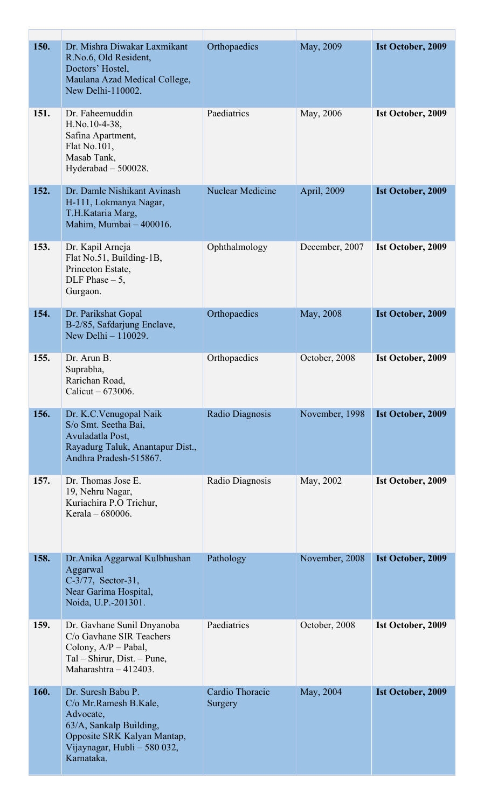| 150. | Dr. Mishra Diwakar Laxmikant<br>R.No.6, Old Resident,<br>Doctors' Hostel,<br>Maulana Azad Medical College,<br>New Delhi-110002.                                  | Orthopaedics               | May, 2009      | <b>Ist October, 2009</b> |
|------|------------------------------------------------------------------------------------------------------------------------------------------------------------------|----------------------------|----------------|--------------------------|
| 151. | Dr. Faheemuddin<br>H.No.10-4-38,<br>Safina Apartment,<br>Flat No.101,<br>Masab Tank,<br>Hyderabad $-500028$ .                                                    | Paediatrics                | May, 2006      | Ist October, 2009        |
| 152. | Dr. Damle Nishikant Avinash<br>H-111, Lokmanya Nagar,<br>T.H.Kataria Marg,<br>Mahim, Mumbai - 400016.                                                            | <b>Nuclear Medicine</b>    | April, 2009    | <b>Ist October, 2009</b> |
| 153. | Dr. Kapil Arneja<br>Flat No.51, Building-1B,<br>Princeton Estate,<br>DLF Phase $-5$ ,<br>Gurgaon.                                                                | Ophthalmology              | December, 2007 | Ist October, 2009        |
| 154. | Dr. Parikshat Gopal<br>B-2/85, Safdarjung Enclave,<br>New Delhi - 110029.                                                                                        | Orthopaedics               | May, 2008      | Ist October, 2009        |
| 155. | Dr. Arun B.<br>Suprabha,<br>Rarichan Road,<br>Calicut – 673006.                                                                                                  | Orthopaedics               | October, 2008  | Ist October, 2009        |
| 156. | Dr. K.C. Venugopal Naik<br>S/o Smt. Seetha Bai,<br>Avuladatla Post,<br>Rayadurg Taluk, Anantapur Dist.,<br>Andhra Pradesh-515867.                                | Radio Diagnosis            | November, 1998 | Ist October, 2009        |
| 157. | Dr. Thomas Jose E.<br>19, Nehru Nagar,<br>Kuriachira P.O Trichur,<br>Kerala - 680006.                                                                            | Radio Diagnosis            | May, 2002      | Ist October, 2009        |
| 158. | Dr. Anika Aggarwal Kulbhushan<br>Aggarwal<br>C-3/77, Sector-31,<br>Near Garima Hospital,<br>Noida, U.P.-201301.                                                  | Pathology                  | November, 2008 | Ist October, 2009        |
| 159. | Dr. Gavhane Sunil Dnyanoba<br>C/o Gavhane SIR Teachers<br>Colony, $A/P$ – Pabal,<br>Tal – Shirur, Dist. – Pune,<br>Maharashtra - 412403.                         | Paediatrics                | October, 2008  | Ist October, 2009        |
| 160. | Dr. Suresh Babu P.<br>C/o Mr.Ramesh B.Kale,<br>Advocate,<br>63/A, Sankalp Building,<br>Opposite SRK Kalyan Mantap,<br>Vijaynagar, Hubli - 580 032,<br>Karnataka. | Cardio Thoracic<br>Surgery | May, 2004      | Ist October, 2009        |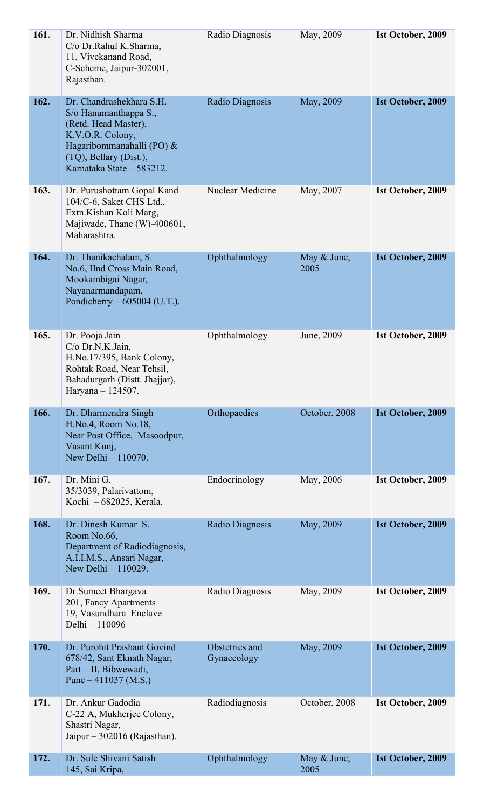| 161. | Dr. Nidhish Sharma<br>C/o Dr.Rahul K.Sharma,<br>11, Vivekanand Road,<br>C-Scheme, Jaipur-302001,<br>Rajasthan.                                                                    | Radio Diagnosis               | May, 2009           | Ist October, 2009        |
|------|-----------------------------------------------------------------------------------------------------------------------------------------------------------------------------------|-------------------------------|---------------------|--------------------------|
| 162. | Dr. Chandrashekhara S.H.<br>S/o Hanumanthappa S.,<br>(Retd. Head Master),<br>K.V.O.R. Colony,<br>Hagaribommanahalli (PO) &<br>(TQ), Bellary (Dist.),<br>Karnataka State - 583212. | Radio Diagnosis               | May, 2009           | Ist October, 2009        |
| 163. | Dr. Purushottam Gopal Kand<br>104/C-6, Saket CHS Ltd.,<br>Extn.Kishan Koli Marg,<br>Majiwade, Thane (W)-400601,<br>Maharashtra.                                                   | Nuclear Medicine              | May, 2007           | Ist October, 2009        |
| 164. | Dr. Thanikachalam, S.<br>No.6, IInd Cross Main Road,<br>Mookambigai Nagar,<br>Nayanarmandapam,<br>Pondicherry $-605004$ (U.T.).                                                   | Ophthalmology                 | May & June,<br>2005 | <b>Ist October, 2009</b> |
| 165. | Dr. Pooja Jain<br>C/o Dr.N.K.Jain,<br>H.No.17/395, Bank Colony,<br>Rohtak Road, Near Tehsil,<br>Bahadurgarh (Distt. Jhajjar),<br>Haryana - 124507.                                | Ophthalmology                 | June, 2009          | Ist October, 2009        |
| 166. | Dr. Dharmendra Singh<br>H.No.4, Room No.18,<br>Near Post Office, Masoodpur,<br>Vasant Kunj,<br>New Delhi - 110070.                                                                | Orthopaedics                  | October, 2008       | Ist October, 2009        |
| 167. | Dr. Mini G.<br>35/3039, Palarivattom,<br>Kochi - 682025, Kerala.                                                                                                                  | Endocrinology                 | May, 2006           | Ist October, 2009        |
| 168. | Dr. Dinesh Kumar S.<br>Room No.66,<br>Department of Radiodiagnosis,<br>A.I.I.M.S., Ansari Nagar,<br>New Delhi - 110029.                                                           | Radio Diagnosis               | May, 2009           | Ist October, 2009        |
| 169. | Dr.Sumeet Bhargava<br>201, Fancy Apartments<br>19, Vasundhara Enclave<br>Delhi - 110096                                                                                           | Radio Diagnosis               | May, 2009           | Ist October, 2009        |
| 170. | Dr. Purohit Prashant Govind<br>678/42, Sant Eknath Nagar,<br>Part – II, Bibwewadi,<br>Pune $-411037$ (M.S.)                                                                       | Obstetrics and<br>Gynaecology | May, 2009           | <b>Ist October, 2009</b> |
| 171. | Dr. Ankur Gadodia<br>C-22 A, Mukherjee Colony,<br>Shastri Nagar,<br>Jaipur $-302016$ (Rajasthan).                                                                                 | Radiodiagnosis                | October, 2008       | Ist October, 2009        |
| 172. | Dr. Sule Shivani Satish<br>145, Sai Kripa,                                                                                                                                        | Ophthalmology                 | May & June,<br>2005 | <b>Ist October, 2009</b> |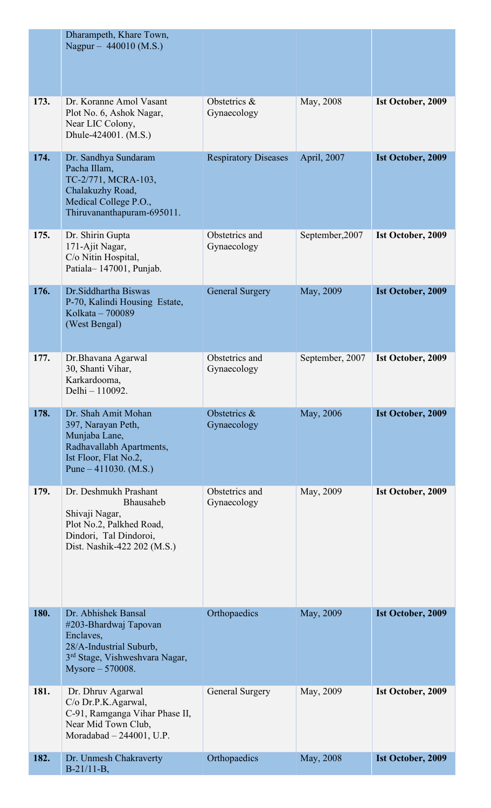|      | Dharampeth, Khare Town,<br>Nagpur – 440010 (M.S.)                                                                                                      |                               |                 |                          |
|------|--------------------------------------------------------------------------------------------------------------------------------------------------------|-------------------------------|-----------------|--------------------------|
| 173. | Dr. Koranne Amol Vasant<br>Plot No. 6, Ashok Nagar,<br>Near LIC Colony,<br>Dhule-424001. (M.S.)                                                        | Obstetrics &<br>Gynaecology   | May, 2008       | Ist October, 2009        |
| 174. | Dr. Sandhya Sundaram<br>Pacha Illam,<br>TC-2/771, MCRA-103,<br>Chalakuzhy Road,<br>Medical College P.O.,<br>Thiruvananthapuram-695011.                 | <b>Respiratory Diseases</b>   | April, 2007     | <b>Ist October, 2009</b> |
| 175. | Dr. Shirin Gupta<br>171-Ajit Nagar,<br>C/o Nitin Hospital,<br>Patiala-147001, Punjab.                                                                  | Obstetrics and<br>Gynaecology | September, 2007 | Ist October, 2009        |
| 176. | Dr.Siddhartha Biswas<br>P-70, Kalindi Housing Estate,<br>Kolkata - 700089<br>(West Bengal)                                                             | <b>General Surgery</b>        | May, 2009       | <b>Ist October, 2009</b> |
| 177. | Dr.Bhavana Agarwal<br>30, Shanti Vihar,<br>Karkardooma,<br>Delhi - 110092.                                                                             | Obstetrics and<br>Gynaecology | September, 2007 | Ist October, 2009        |
| 178. | Dr. Shah Amit Mohan<br>397, Narayan Peth,<br>Munjaba Lane,<br>Radhavallabh Apartments,<br>Ist Floor, Flat No.2,<br>Pune $-411030.$ (M.S.)              | Obstetrics &<br>Gynaecology   | May, 2006       | Ist October, 2009        |
| 179. | Dr. Deshmukh Prashant<br>Bhausaheb<br>Shivaji Nagar,<br>Plot No.2, Palkhed Road,<br>Dindori, Tal Dindoroi,<br>Dist. Nashik-422 202 (M.S.)              | Obstetrics and<br>Gynaecology | May, 2009       | Ist October, 2009        |
| 180. | Dr. Abhishek Bansal<br>#203-Bhardwaj Tapovan<br>Enclaves,<br>28/A-Industrial Suburb,<br>3 <sup>rd</sup> Stage, Vishweshvara Nagar,<br>Mysore - 570008. | Orthopaedics                  | May, 2009       | <b>Ist October, 2009</b> |
| 181. | Dr. Dhruv Agarwal<br>C/o Dr.P.K.Agarwal,<br>C-91, Ramganga Vihar Phase II,<br>Near Mid Town Club,<br>Moradabad $-244001$ , U.P.                        | General Surgery               | May, 2009       | Ist October, 2009        |
| 182. | Dr. Unmesh Chakraverty<br>$B-21/11-B$ ,                                                                                                                | Orthopaedics                  | May, 2008       | <b>Ist October, 2009</b> |